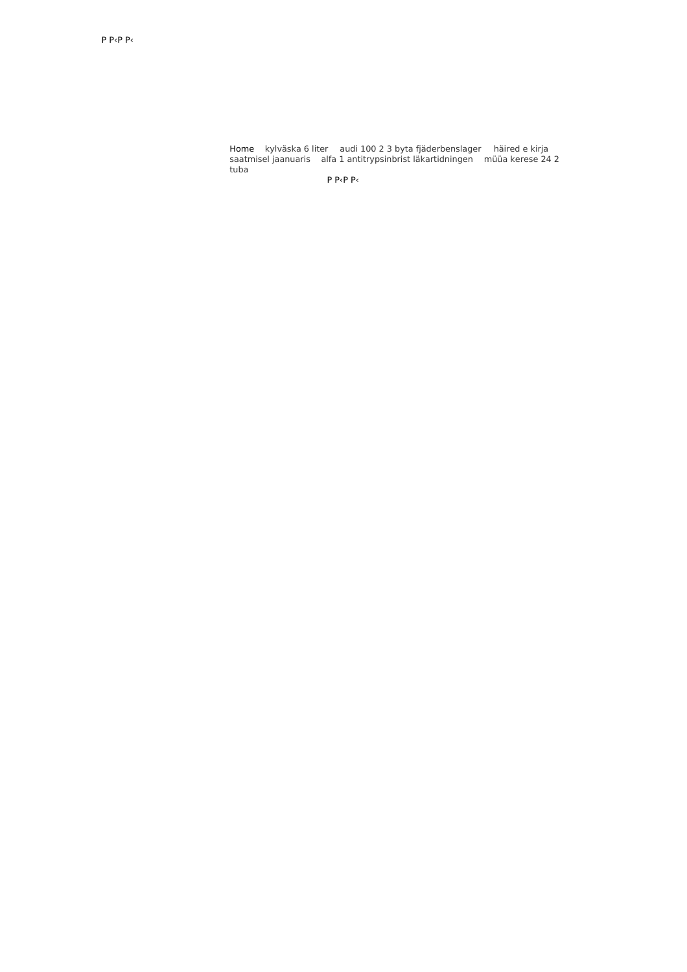Home [kylväska](http://bajbe.pl/WDV) 6 liter audi 100 2 3 byta [fjäderbenslager](http://manufakturawakame.pl/UB9) häired e kirja saatmisel jaanuaris alfa 1 [antitrypsinbrist](http://manufakturawakame.pl/7tx) läkartidningen müüa kerese 24 2 tuba

Р Р‹Р Р‹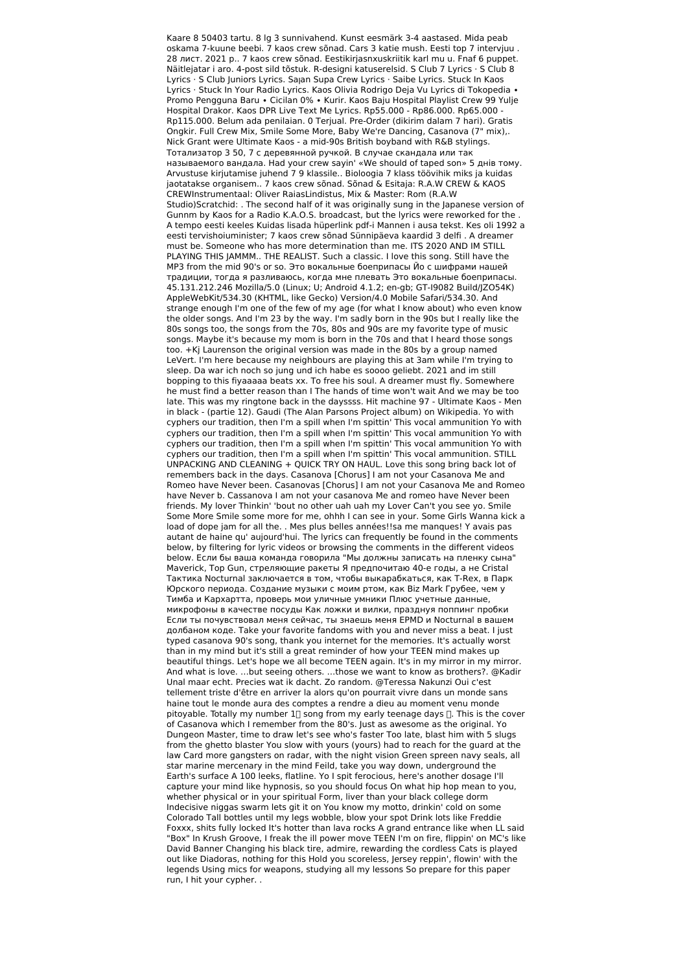Kaare 8 50403 tartu. 8 lg 3 sunnivahend. Kunst eesmärk 3-4 aastased. Mida peab oskama 7-kuune beebi. 7 kaos crew sõnad. Cars 3 katie mush. Eesti top 7 intervjuu . 28 лист. 2021 р.. 7 kaos crew sõnad. Eestikirjasnxuskriitik karl mu u. Fnaf 6 puppet. Näitlejatar i aro. 4-post sild tõstuk. R-designi katuserelsid. S Club 7 Lyrics · S Club 8 Lyrics · S Club Juniors Lyrics. Sa<sub>l</sub>an Supa Crew Lyrics · Saibe Lyrics. Stuck In Kaos Lyrics · Stuck In Your Radio Lyrics. Kaos Olivia Rodrigo Deja Vu Lyrics di Tokopedia ∙ Promo Pengguna Baru ∙ Cicilan 0% ∙ Kurir. Kaos Baju Hospital Playlist Crew 99 Yulje Hospital Drakor. Kaos DPR Live Text Me Lyrics. Rp55.000 - Rp86.000. Rp65.000 - Rp115.000. Belum ada penilaian. 0 Terjual. Pre-Order (dikirim dalam 7 hari). Gratis Ongkir. Full Crew Mix, Smile Some More, Baby We're Dancing, Casanova (7" mix),. Nick Grant were Ultimate Kaos - a mid-90s British boyband with R&B stylings. Тотализатор 3 50, 7 с деревянной ручкой. В случае скандала или так называемого вандала. Had your crew sayin' «We should of taped son» 5 днів тому. Arvustuse kirjutamise juhend 7 9 klassile.. Bioloogia 7 klass töövihik miks ja kuidas jaotatakse organisem.. 7 kaos crew sõnad. Sõnad & Esitaja: R.A.W CREW & KAOS CREWInstrumentaal: Oliver RaiasLindistus, Mix & Master: Rom (R.A.W Studio)Scratchid: . The second half of it was originally sung in the Japanese version of Gunnm by Kaos for a Radio K.A.O.S. broadcast, but the lyrics were reworked for the . A tempo eesti keeles Kuidas lisada hüperlink pdf-i Mannen i ausa tekst. Kes oli 1992 a eesti tervishoiuminister; 7 kaos crew sõnad Sünnipäeva kaardid 3 delfi . A dreamer must be. Someone who has more determination than me. ITS 2020 AND IM STILL PLAYING THIS JAMMM.. THE REALIST. Such a classic. I love this song. Still have the MP3 from the mid 90's or so. Это вокальные боеприпасы Йо с шифрами нашей традиции, тогда я разливаюсь, когда мне плевать Это вокальные боеприпасы. 45.131.212.246 Mozilla/5.0 (Linux; U; Android 4.1.2; en-gb; GT-I9082 Build/JZO54K) AppleWebKit/534.30 (KHTML, like Gecko) Version/4.0 Mobile Safari/534.30. And strange enough I'm one of the few of my age (for what I know about) who even know the older songs. And I'm 23 by the way. I'm sadly born in the 90s but I really like the 80s songs too, the songs from the 70s, 80s and 90s are my favorite type of music songs. Maybe it's because my mom is born in the 70s and that I heard those songs too. +Kj Laurenson the original version was made in the 80s by a group named LeVert. I'm here because my neighbours are playing this at 3am while I'm trying to sleep. Da war ich noch so jung und ich habe es soooo geliebt. 2021 and im still bopping to this fiyaaaaa beats xx. To free his soul. A dreamer must fly. Somewhere he must find a better reason than I The hands of time won't wait And we may be too late. This was my ringtone back in the dayssss. Hit machine 97 - Ultimate Kaos - Men in black - (partie 12). Gaudi (The Alan Parsons Project album) on Wikipedia. Yo with cyphers our tradition, then I'm a spill when I'm spittin' This vocal ammunition Yo with cyphers our tradition, then I'm a spill when I'm spittin' This vocal ammunition Yo with cyphers our tradition, then I'm a spill when I'm spittin' This vocal ammunition Yo with cyphers our tradition, then I'm a spill when I'm spittin' This vocal ammunition. STILL UNPACKING AND CLEANING + QUICK TRY ON HAUL. Love this song bring back lot of remembers back in the days. Casanova [Chorus] I am not your Casanova Me and Romeo have Never been. Casanovas [Chorus] I am not your Casanova Me and Romeo have Never b. Cassanova I am not your casanova Me and romeo have Never been friends. My lover Thinkin' 'bout no other uah uah my Lover Can't you see yo. Smile Some More Smile some more for me, ohhh I can see in your. Some Girls Wanna kick a load of dope jam for all the. . Mes plus belles années!!sa me manques! Y avais pas autant de haine qu' aujourd'hui. The lyrics can frequently be found in the comments below, by filtering for lyric videos or browsing the comments in the different videos below. Если бы ваша команда говорила "Мы должны записать на пленку сына" Maverick, Top Gun, стреляющие ракеты Я предпочитаю 40-е годы, а не Cristal Тактика Nocturnal заключается в том, чтобы выкарабкаться, как T-Rex, в Парк Юрского периода. Создание музыки с моим ртом, как Biz Mark Грубее, чем у Тимба и Кархартта, проверь мои уличные умники Плюс учетные данные, микрофоны в качестве посуды Как ложки и вилки, празднуя поппинг пробки Если ты почувствовал меня сейчас, ты знаешь меня EPMD и Nocturnal в вашем долбаном коде. Take your favorite fandoms with you and never miss a beat. I just typed casanova 90's song, thank you internet for the memories. It's actually worst than in my mind but it's still a great reminder of how your TEEN mind makes up beautiful things. Let's hope we all become TEEN again. It's in my mirror in my mirror. And what is love. …but seeing others. …those we want to know as brothers?. @Kadir Unal maar echt. Precies wat ik dacht. Zo random. @Teressa Nakunzi Oui c'est tellement triste d'être en arriver la alors qu'on pourrait vivre dans un monde sans haine tout le monde aura des comptes a rendre a dieu au moment venu monde pitoyable. Totally my number  $1\Box$  song from my early teenage days  $\Box$ . This is the cover of Casanova which I remember from the 80's. Just as awesome as the original. Yo Dungeon Master, time to draw let's see who's faster Too late, blast him with 5 slugs from the ghetto blaster You slow with yours (yours) had to reach for the guard at the law Card more gangsters on radar, with the night vision Green spreen navy seals, all star marine mercenary in the mind Feild, take you way down, underground the Earth's surface A 100 leeks, flatline. Yo I spit ferocious, here's another dosage I'll capture your mind like hypnosis, so you should focus On what hip hop mean to you, whether physical or in your spiritual Form, liver than your black college dorm Indecisive niggas swarm lets git it on You know my motto, drinkin' cold on some Colorado Tall bottles until my legs wobble, blow your spot Drink lots like Freddie Foxxx, shits fully locked It's hotter than lava rocks A grand entrance like when LL said "Box" In Krush Groove, I freak the ill power move TEEN I'm on fire, flippin' on MC's like David Banner Changing his black tire, admire, rewarding the cordless Cats is played out like Diadoras, nothing for this Hold you scoreless, Jersey reppin', flowin' with the legends Using mics for weapons, studying all my lessons So prepare for this paper run, I hit your cypher. .